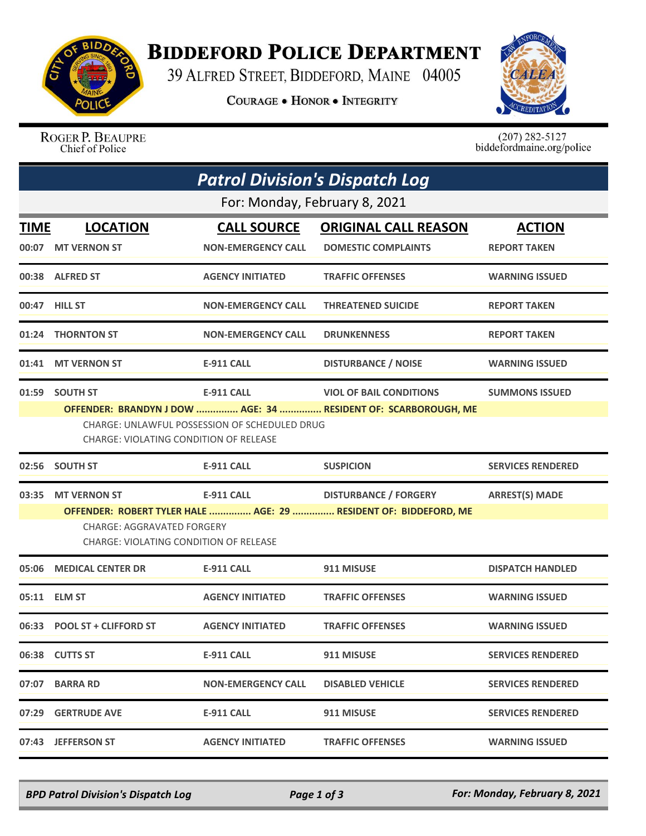

## **BIDDEFORD POLICE DEPARTMENT**

39 ALFRED STREET, BIDDEFORD, MAINE 04005

**COURAGE . HONOR . INTEGRITY** 



ROGER P. BEAUPRE Chief of Police

 $(207)$  282-5127<br>biddefordmaine.org/police

| <b>Patrol Division's Dispatch Log</b> |                                               |                                                      |                                                                                                  |                          |  |  |  |  |
|---------------------------------------|-----------------------------------------------|------------------------------------------------------|--------------------------------------------------------------------------------------------------|--------------------------|--|--|--|--|
| For: Monday, February 8, 2021         |                                               |                                                      |                                                                                                  |                          |  |  |  |  |
| <b>TIME</b>                           | <b>LOCATION</b>                               | <b>CALL SOURCE</b>                                   | <b>ORIGINAL CALL REASON</b>                                                                      | <b>ACTION</b>            |  |  |  |  |
|                                       | 00:07 MT VERNON ST                            | <b>NON-EMERGENCY CALL</b>                            | <b>DOMESTIC COMPLAINTS</b>                                                                       | <b>REPORT TAKEN</b>      |  |  |  |  |
|                                       | 00:38 ALFRED ST                               | <b>AGENCY INITIATED</b>                              | <b>TRAFFIC OFFENSES</b>                                                                          | <b>WARNING ISSUED</b>    |  |  |  |  |
|                                       | 00:47 HILL ST                                 | <b>NON-EMERGENCY CALL</b>                            | <b>THREATENED SUICIDE</b>                                                                        | <b>REPORT TAKEN</b>      |  |  |  |  |
|                                       | 01:24 THORNTON ST                             | <b>NON-EMERGENCY CALL</b>                            | <b>DRUNKENNESS</b>                                                                               | <b>REPORT TAKEN</b>      |  |  |  |  |
|                                       | 01:41 MT VERNON ST                            | <b>E-911 CALL</b>                                    | <b>DISTURBANCE / NOISE</b>                                                                       | <b>WARNING ISSUED</b>    |  |  |  |  |
|                                       | 01:59 SOUTH ST                                | <b>E-911 CALL</b>                                    | <b>VIOL OF BAIL CONDITIONS</b>                                                                   | <b>SUMMONS ISSUED</b>    |  |  |  |  |
|                                       | <b>CHARGE: VIOLATING CONDITION OF RELEASE</b> | <b>CHARGE: UNLAWFUL POSSESSION OF SCHEDULED DRUG</b> | OFFENDER: BRANDYN J DOW  AGE: 34  RESIDENT OF: SCARBOROUGH, ME                                   |                          |  |  |  |  |
|                                       | 02:56 SOUTH ST                                | <b>E-911 CALL</b>                                    | <b>SUSPICION</b>                                                                                 | <b>SERVICES RENDERED</b> |  |  |  |  |
| 03:35                                 | <b>MT VERNON ST</b>                           | <b>E-911 CALL</b>                                    | <b>DISTURBANCE / FORGERY</b><br>OFFENDER: ROBERT TYLER HALE  AGE: 29  RESIDENT OF: BIDDEFORD, ME | <b>ARREST(S) MADE</b>    |  |  |  |  |
|                                       |                                               |                                                      |                                                                                                  |                          |  |  |  |  |
|                                       | 05:06 MEDICAL CENTER DR                       | <b>E-911 CALL</b>                                    | 911 MISUSE                                                                                       | <b>DISPATCH HANDLED</b>  |  |  |  |  |
| 05:11                                 | <b>ELM ST</b>                                 | <b>AGENCY INITIATED</b>                              | <b>TRAFFIC OFFENSES</b>                                                                          | <b>WARNING ISSUED</b>    |  |  |  |  |
|                                       | 06:33 POOL ST + CLIFFORD ST                   | <b>AGENCY INITIATED</b>                              | <b>TRAFFIC OFFENSES</b>                                                                          | <b>WARNING ISSUED</b>    |  |  |  |  |
|                                       | 06:38 CUTTS ST                                | <b>E-911 CALL</b>                                    | 911 MISUSE                                                                                       | <b>SERVICES RENDERED</b> |  |  |  |  |
|                                       | 07:07 BARRA RD                                | <b>NON-EMERGENCY CALL</b>                            | <b>DISABLED VEHICLE</b>                                                                          | <b>SERVICES RENDERED</b> |  |  |  |  |
|                                       | 07:29 GERTRUDE AVE                            | E-911 CALL                                           | 911 MISUSE                                                                                       | <b>SERVICES RENDERED</b> |  |  |  |  |
|                                       | 07:43 JEFFERSON ST                            | <b>AGENCY INITIATED</b>                              | <b>TRAFFIC OFFENSES</b>                                                                          | <b>WARNING ISSUED</b>    |  |  |  |  |

*BPD Patrol Division's Dispatch Log Page 1 of 3 For: Monday, February 8, 2021*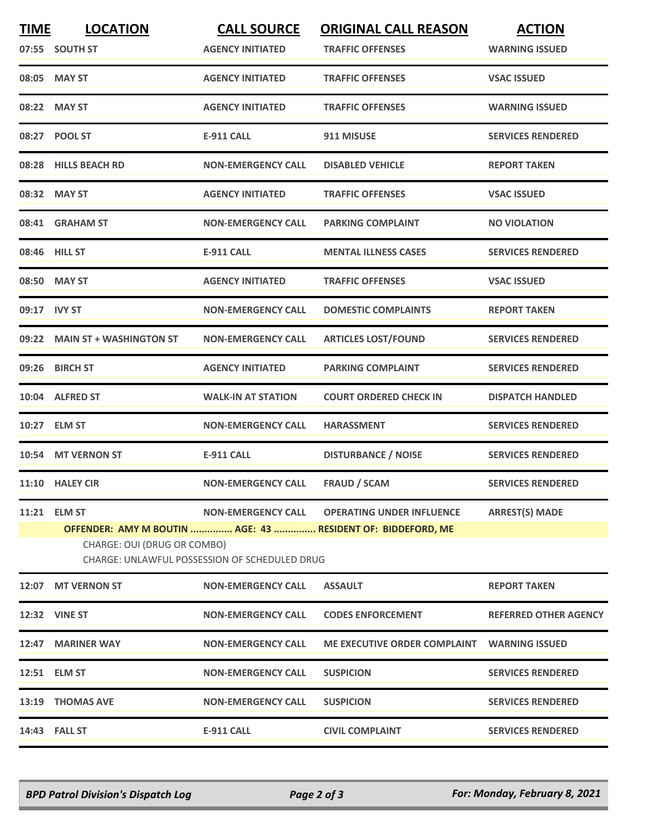| <b>TIME</b>  | <b>LOCATION</b><br>07:55 SOUTH ST                                                                                                                                                                                                                     | <b>CALL SOURCE</b><br><b>AGENCY INITIATED</b> | <b>ORIGINAL CALL REASON</b><br><b>TRAFFIC OFFENSES</b> | <b>ACTION</b><br><b>WARNING ISSUED</b> |  |  |
|--------------|-------------------------------------------------------------------------------------------------------------------------------------------------------------------------------------------------------------------------------------------------------|-----------------------------------------------|--------------------------------------------------------|----------------------------------------|--|--|
|              | 08:05 MAY ST                                                                                                                                                                                                                                          | <b>AGENCY INITIATED</b>                       | <b>TRAFFIC OFFENSES</b>                                | <b>VSAC ISSUED</b>                     |  |  |
|              | 08:22 MAY ST                                                                                                                                                                                                                                          | <b>AGENCY INITIATED</b>                       | <b>TRAFFIC OFFENSES</b>                                | <b>WARNING ISSUED</b>                  |  |  |
|              | 08:27 POOL ST                                                                                                                                                                                                                                         | <b>E-911 CALL</b>                             | 911 MISUSE                                             | <b>SERVICES RENDERED</b>               |  |  |
|              | 08:28 HILLS BEACH RD                                                                                                                                                                                                                                  | <b>NON-EMERGENCY CALL</b>                     | <b>DISABLED VEHICLE</b>                                | <b>REPORT TAKEN</b>                    |  |  |
|              | 08:32 MAY ST                                                                                                                                                                                                                                          | <b>AGENCY INITIATED</b>                       | <b>TRAFFIC OFFENSES</b>                                | <b>VSAC ISSUED</b>                     |  |  |
|              | 08:41 GRAHAM ST                                                                                                                                                                                                                                       | <b>NON-EMERGENCY CALL</b>                     | <b>PARKING COMPLAINT</b>                               | <b>NO VIOLATION</b>                    |  |  |
|              | 08:46 HILL ST                                                                                                                                                                                                                                         | <b>E-911 CALL</b>                             | <b>MENTAL ILLNESS CASES</b>                            | <b>SERVICES RENDERED</b>               |  |  |
|              | 08:50 MAY ST                                                                                                                                                                                                                                          | <b>AGENCY INITIATED</b>                       | <b>TRAFFIC OFFENSES</b>                                | <b>VSAC ISSUED</b>                     |  |  |
| 09:17 IVY ST |                                                                                                                                                                                                                                                       | <b>NON-EMERGENCY CALL</b>                     | <b>DOMESTIC COMPLAINTS</b>                             | <b>REPORT TAKEN</b>                    |  |  |
|              | 09:22 MAIN ST + WASHINGTON ST                                                                                                                                                                                                                         | <b>NON-EMERGENCY CALL</b>                     | <b>ARTICLES LOST/FOUND</b>                             | <b>SERVICES RENDERED</b>               |  |  |
|              | 09:26 BIRCH ST                                                                                                                                                                                                                                        | <b>AGENCY INITIATED</b>                       | <b>PARKING COMPLAINT</b>                               | <b>SERVICES RENDERED</b>               |  |  |
|              | 10:04 ALFRED ST                                                                                                                                                                                                                                       | <b>WALK-IN AT STATION</b>                     | <b>COURT ORDERED CHECK IN</b>                          | <b>DISPATCH HANDLED</b>                |  |  |
| 10:27        | <b>ELM ST</b>                                                                                                                                                                                                                                         | <b>NON-EMERGENCY CALL</b>                     | <b>HARASSMENT</b>                                      | <b>SERVICES RENDERED</b>               |  |  |
|              | 10:54 MT VERNON ST                                                                                                                                                                                                                                    | <b>E-911 CALL</b>                             | <b>DISTURBANCE / NOISE</b>                             | <b>SERVICES RENDERED</b>               |  |  |
|              | 11:10 HALEY CIR                                                                                                                                                                                                                                       | <b>NON-EMERGENCY CALL</b>                     | <b>FRAUD / SCAM</b>                                    | <b>SERVICES RENDERED</b>               |  |  |
|              | 11:21 ELM ST<br><b>NON-EMERGENCY CALL</b><br><b>OPERATING UNDER INFLUENCE</b><br><b>ARREST(S) MADE</b><br>OFFENDER: AMY M BOUTIN  AGE: 43  RESIDENT OF: BIDDEFORD, ME<br>CHARGE: OUI (DRUG OR COMBO)<br>CHARGE: UNLAWFUL POSSESSION OF SCHEDULED DRUG |                                               |                                                        |                                        |  |  |
|              | 12:07 MT VERNON ST                                                                                                                                                                                                                                    | <b>NON-EMERGENCY CALL</b>                     | <b>ASSAULT</b>                                         | <b>REPORT TAKEN</b>                    |  |  |
|              | 12:32 VINE ST                                                                                                                                                                                                                                         | <b>NON-EMERGENCY CALL</b>                     | <b>CODES ENFORCEMENT</b>                               | <b>REFERRED OTHER AGENCY</b>           |  |  |
| 12:47        | <b>MARINER WAY</b>                                                                                                                                                                                                                                    | <b>NON-EMERGENCY CALL</b>                     | <b>ME EXECUTIVE ORDER COMPLAINT</b>                    | <b>WARNING ISSUED</b>                  |  |  |
|              | 12:51 ELM ST                                                                                                                                                                                                                                          | <b>NON-EMERGENCY CALL</b>                     | <b>SUSPICION</b>                                       | <b>SERVICES RENDERED</b>               |  |  |
|              | 13:19 THOMAS AVE                                                                                                                                                                                                                                      | <b>NON-EMERGENCY CALL</b>                     | <b>SUSPICION</b>                                       | <b>SERVICES RENDERED</b>               |  |  |
|              | 14:43 FALL ST                                                                                                                                                                                                                                         | <b>E-911 CALL</b>                             | <b>CIVIL COMPLAINT</b>                                 | <b>SERVICES RENDERED</b>               |  |  |
|              |                                                                                                                                                                                                                                                       |                                               |                                                        |                                        |  |  |

*BPD Patrol Division's Dispatch Log Page 2 of 3 For: Monday, February 8, 2021*